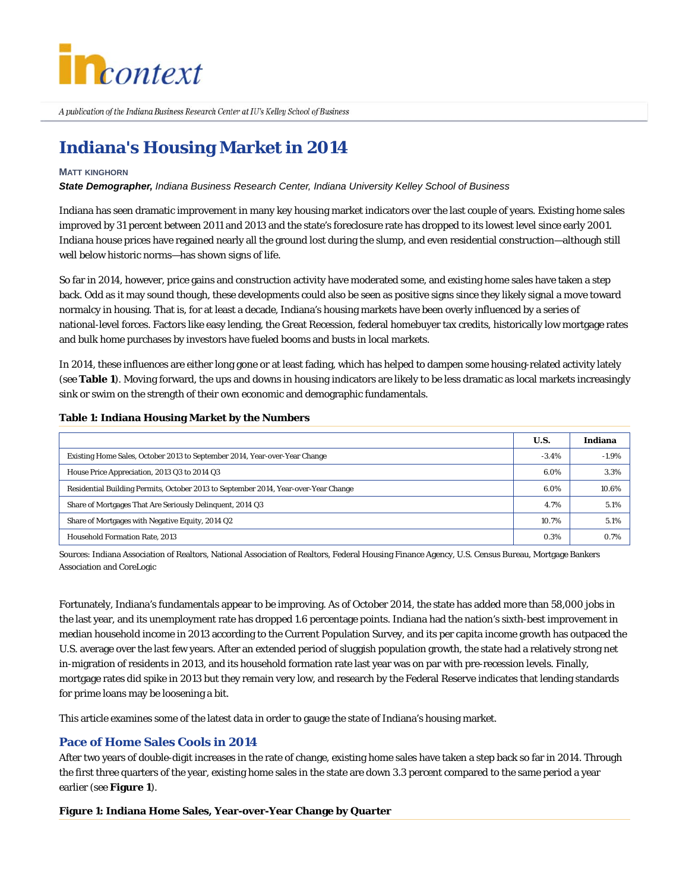

A publication of the Indiana Business Research Center at IU's Kelley School of Business

# **Indiana's Housing Market in 2014**

### **MATT KINGHORN**

*State Demographer, Indiana Business Research Center, Indiana University Kelley School of Business*

Indiana has seen dramatic improvement in many key housing market indicators over the last couple of years. Existing home sales improved by 31 percent between 2011 and 2013 and the state's foreclosure rate has dropped to its lowest level since early 2001. Indiana house prices have regained nearly all the ground lost during the slump, and even residential construction—although still well below historic norms—has shown signs of life.

So far in 2014, however, price gains and construction activity have moderated some, and existing home sales have taken a step back. Odd as it may sound though, these developments could also be seen as positive signs since they likely signal a move toward normalcy in housing. That is, for at least a decade, Indiana's housing markets have been overly influenced by a series of national-level forces. Factors like easy lending, the Great Recession, federal homebuyer tax credits, historically low mortgage rates and bulk home purchases by investors have fueled booms and busts in local markets.

In 2014, these influences are either long gone or at least fading, which has helped to dampen some housing-related activity lately (see **Table 1**). Moving forward, the ups and downs in housing indicators are likely to be less dramatic as local markets increasingly sink or swim on the strength of their own economic and demographic fundamentals.

### **Table 1: Indiana Housing Market by the Numbers**

|                                                                                     | U.S.    | Indiana |
|-------------------------------------------------------------------------------------|---------|---------|
| Existing Home Sales, October 2013 to September 2014, Year-over-Year Change          | $-3.4%$ | $-1.9%$ |
| House Price Appreciation, 2013 Q3 to 2014 Q3                                        | 6.0%    | 3.3%    |
| Residential Building Permits, October 2013 to September 2014, Year-over-Year Change | 6.0%    | 10.6%   |
| Share of Mortgages That Are Seriously Delinquent, 2014 Q3                           | 4.7%    | 5.1%    |
| Share of Mortgages with Negative Equity, 2014 Q2                                    | 10.7%   | 5.1%    |
| <b>Household Formation Rate, 2013</b>                                               | 0.3%    | 0.7%    |

Sources: Indiana Association of Realtors, National Association of Realtors, Federal Housing Finance Agency, U.S. Census Bureau, Mortgage Bankers Association and CoreLogic

Fortunately, Indiana's fundamentals appear to be improving. As of October 2014, the state has added more than 58,000 jobs in the last year, and its unemployment rate has dropped 1.6 percentage points. Indiana had the nation's sixth-best improvement in median household income in 2013 according to the Current Population Survey, and its per capita income growth has outpaced the U.S. average over the last few years. After an extended period of sluggish population growth, the state had a relatively strong net in-migration of residents in 2013, and its household formation rate last year was on par with pre-recession levels. Finally, mortgage rates did spike in 2013 but they remain very low, and research by the Federal Reserve indicates that lending standards for prime loans may be loosening a bit.

This article examines some of the latest data in order to gauge the state of Indiana's housing market.

## **Pace of Home Sales Cools in 2014**

After two years of double-digit increases in the rate of change, existing home sales have taken a step back so far in 2014. Through the first three quarters of the year, existing home sales in the state are down 3.3 percent compared to the same period a year earlier (see **Figure 1**).

## **Figure 1: Indiana Home Sales, Year-over-Year Change by Quarter**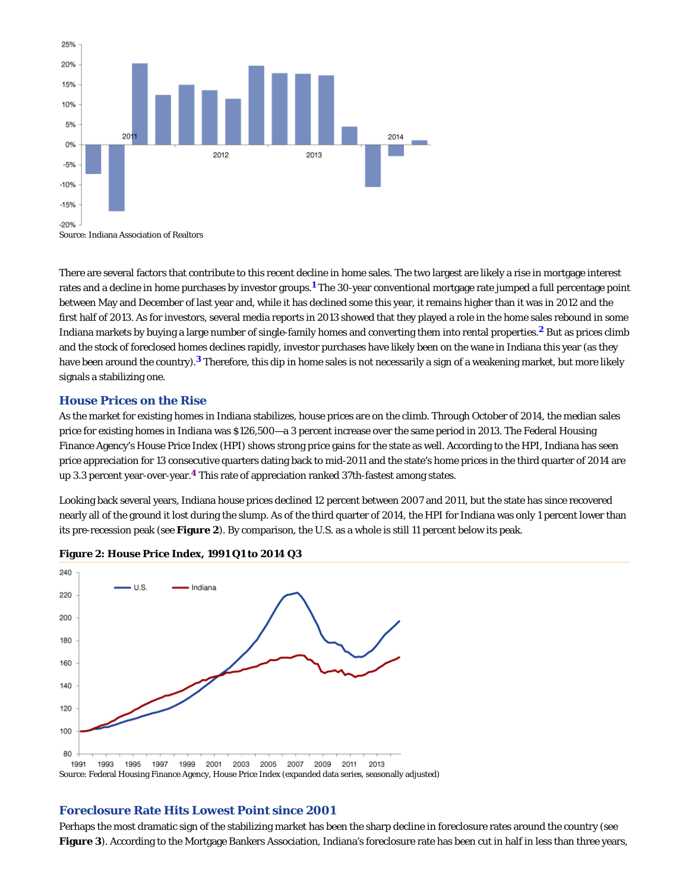

Source: Indiana Association of Realtors

There are several factors that contribute to this recent decline in home sales. The two largest are likely a rise in mortgage interest rates and a decline in home purchases by investor groups.<sup>1</sup> The 30-year conventional mortgage rate jumped a full percentage point between May and December of last year and, while it has declined some this year, it remains higher than it was in 2012 and the first half of 2013. As for investors, several media reports in 2013 showed that they played a role in the home sales rebound in some Indiana markets by buying a large number of single-family homes and converting them into rental properties.<sup>2</sup> But as prices climb and the stock of foreclosed homes declines rapidly, investor purchases have likely been on the wane in Indiana this year (as they have been around the country).<sup>3</sup> Therefore, this dip in home sales is not necessarily a sign of a weakening market, but more likely signals a stabilizing one.

## **House Prices on the Rise**

As the market for existing homes in Indiana stabilizes, house prices are on the climb. Through October of 2014, the median sales price for existing homes in Indiana was \$126,500—a 3 percent increase over the same period in 2013. The Federal Housing Finance Agency's House Price Index (HPI) shows strong price gains for the state as well. According to the HPI, Indiana has seen price appreciation for 13 consecutive quarters dating back to mid-2011 and the state's home prices in the third quarter of 2014 are up 3.3 percent year-over-year.<sup>4</sup> This rate of appreciation ranked 37th-fastest among states.

Looking back several years, Indiana house prices declined 12 percent between 2007 and 2011, but the state has since recovered nearly all of the ground it lost during the slump. As of the third quarter of 2014, the HPI for Indiana was only 1 percent lower than its pre-recession peak (see **Figure 2**). By comparison, the U.S. as a whole is still 11 percent below its peak.



#### **Figure 2: House Price Index, 1991 Q1 to 2014 Q3**

## **Foreclosure Rate Hits Lowest Point since 2001**

Perhaps the most dramatic sign of the stabilizing market has been the sharp decline in foreclosure rates around the country (see Figure 3). According to the Mortgage Bankers Association, Indiana's foreclosure rate has been cut in half in less than three years,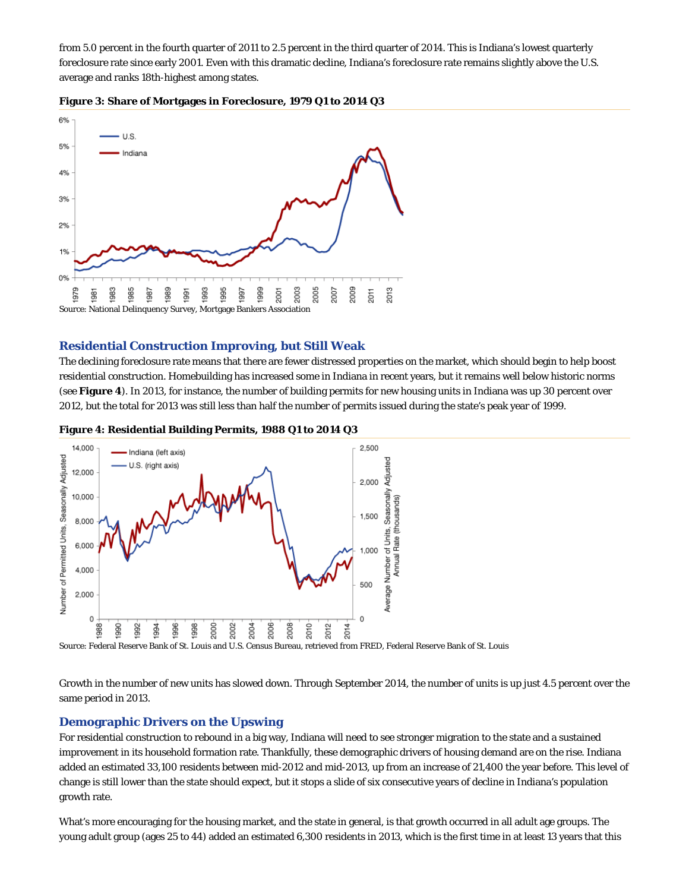from 5.0 percent in the fourth quarter of 2011 to 2.5 percent in the third quarter of 2014. This is Indiana's lowest quarterly foreclosure rate since early 2001. Even with this dramatic decline, Indiana's foreclosure rate remains slightly above the U.S. average and ranks 18th-highest among states.





## **Residential Construction Improving, but Still Weak**

The declining foreclosure rate means that there are fewer distressed properties on the market, which should begin to help boost residential construction. Homebuilding has increased some in Indiana in recent years, but it remains well below historic norms (see **Figure 4**). In 2013, for instance, the number of building permits for new housing units in Indiana was up 30 percent over 2012, but the total for 2013 was still less than half the number of permits issued during the state's peak year of 1999.

**Figure 4: Residential Building Permits, 1988 Q1 to 2014 Q3**



Source: Federal Reserve Bank of St. Louis and U.S. Census Bureau, retrieved from FRED, Federal Reserve Bank of St. Louis

Growth in the number of new units has slowed down. Through September 2014, the number of units is up just 4.5 percent over the same period in 2013.

## **Demographic Drivers on the Upswing**

For residential construction to rebound in a big way, Indiana will need to see stronger migration to the state and a sustained improvement in its household formation rate. Thankfully, these demographic drivers of housing demand are on the rise. Indiana added an estimated 33,100 residents between mid-2012 and mid-2013, up from an increase of 21,400 the year before. This level of change is still lower than the state should expect, but it stops a slide of six consecutive years of decline in Indiana's population growth rate.

What's more encouraging for the housing market, and the state in general, is that growth occurred in all adult age groups. The young adult group (ages 25 to 44) added an estimated 6,300 residents in 2013, which is the first time in at least 13 years that this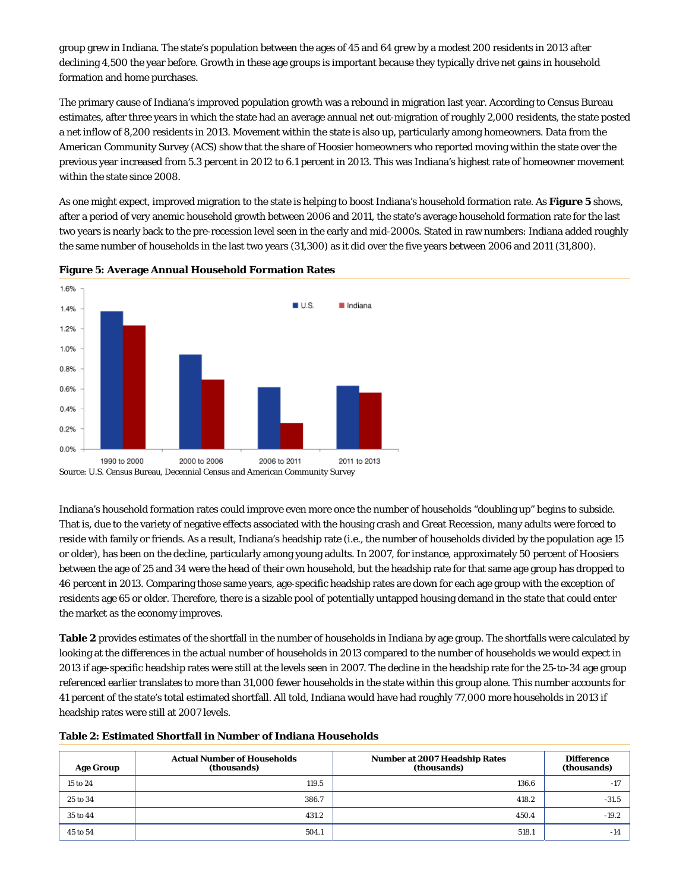group grew in Indiana. The state's population between the ages of 45 and 64 grew by a modest 200 residents in 2013 after declining 4,500 the year before. Growth in these age groups is important because they typically drive net gains in household formation and home purchases.

The primary cause of Indiana's improved population growth was a rebound in migration last year. According to Census Bureau estimates, after three years in which the state had an average annual net out-migration of roughly 2,000 residents, the state posted a net inflow of 8,200 residents in 2013. Movement within the state is also up, particularly among homeowners. Data from the American Community Survey (ACS) show that the share of Hoosier homeowners who reported moving within the state over the previous year increased from 5.3 percent in 2012 to 6.1 percent in 2013. This was Indiana's highest rate of homeowner movement within the state since 2008.

As one might expect, improved migration to the state is helping to boost Indiana's household formation rate. As **Figure 5** shows, after a period of very anemic household growth between 2006 and 2011, the state's average household formation rate for the last two years is nearly back to the pre-recession level seen in the early and mid-2000s. Stated in raw numbers: Indiana added roughly the same number of households in the last two years (31,300) as it did over the five years between 2006 and 2011 (31,800).



**Figure 5: Average Annual Household Formation Rates**

Source: U.S. Census Bureau, Decennial Census and American Community Survey

Indiana's household formation rates could improve even more once the number of households "doubling up" begins to subside. That is, due to the variety of negative effects associated with the housing crash and Great Recession, many adults were forced to reside with family or friends. As a result, Indiana's headship rate (i.e., the number of households divided by the population age 15 or older), has been on the decline, particularly among young adults. In 2007, for instance, approximately 50 percent of Hoosiers between the age of 25 and 34 were the head of their own household, but the headship rate for that same age group has dropped to 46 percent in 2013. Comparing those same years, age-specific headship rates are down for each age group with the exception of residents age 65 or older. Therefore, there is a sizable pool of potentially untapped housing demand in the state that could enter the market as the economy improves.

**Table 2** provides estimates of the shortfall in the number of households in Indiana by age group. The shortfalls were calculated by looking at the differences in the actual number of households in 2013 compared to the number of households we would expect in 2013 if age-specific headship rates were still at the levels seen in 2007. The decline in the headship rate for the 25-to-34 age group referenced earlier translates to more than 31,000 fewer households in the state within this group alone. This number accounts for 41 percent of the state's total estimated shortfall. All told, Indiana would have had roughly 77,000 more households in 2013 if headship rates were still at 2007 levels.

|  |  | Table 2: Estimated Shortfall in Number of Indiana Households |
|--|--|--------------------------------------------------------------|
|--|--|--------------------------------------------------------------|

| <b>Age Group</b> | <b>Actual Number of Households</b><br>(thousands) | <b>Number at 2007 Headship Rates</b><br>(thousands) | <b>Difference</b><br>(thousands) |
|------------------|---------------------------------------------------|-----------------------------------------------------|----------------------------------|
| 15 to 24         | 119.5                                             | 136.6                                               | $-17$                            |
| 25 to 34         | 386.7                                             | 418.2                                               | $-31.5$                          |
| 35 to 44         | 431.2                                             | 450.4                                               | $-19.2$                          |
| 45 to 54         | 504.1                                             | 518.1                                               | $-14$                            |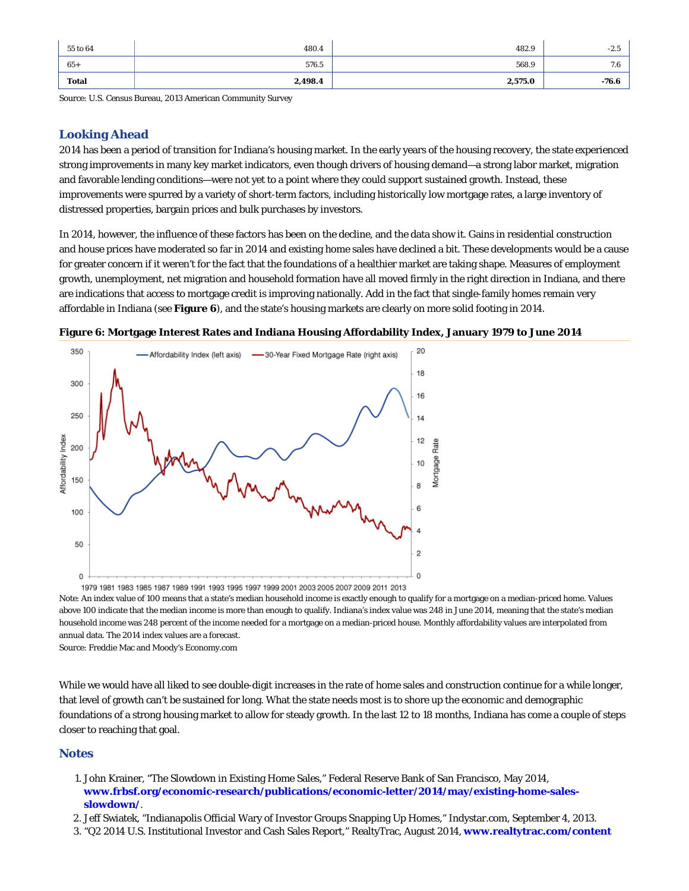| 55 to 64 | 480.4   | 482.9   | $-2.5$  |
|----------|---------|---------|---------|
| $65+$    | 576.5   | 568.9   | 7.6     |
| Total    | 2,498.4 | 2,575.0 | $-76.6$ |

Source: U.S. Census Bureau, 2013 American Community Survey

## **Looking Ahead**

2014 has been a period of transition for Indiana's housing market. In the early years of the housing recovery, the state experienced strong improvements in many key market indicators, even though drivers of housing demand—a strong labor market, migration and favorable lending conditions—were not yet to a point where they could support sustained growth. Instead, these improvements were spurred by a variety of short-term factors, including historically low mortgage rates, a large inventory of distressed properties, bargain prices and bulk purchases by investors.

In 2014, however, the influence of these factors has been on the decline, and the data show it. Gains in residential construction and house prices have moderated so far in 2014 and existing home sales have declined a bit. These developments would be a cause for greater concern if it weren't for the fact that the foundations of a healthier market are taking shape. Measures of employment growth, unemployment, net migration and household formation have all moved firmly in the right direction in Indiana, and there are indications that access to mortgage credit is improving nationally. Add in the fact that single-family homes remain very affordable in Indiana (see **Figure 6**), and the state's housing markets are clearly on more solid footing in 2014.





1979 1981 1983 1985 1987 1989 1991 1993 1995 1997 1999 2001 2003 2005 2007 2009 2011 2013 Note: An index value of 100 means that a state's median household income is exactly enough to qualify for a mortgage on a median-priced home. Values above 100 indicate that the median income is more than enough to qualify. Indiana's index value was 248 in June 2014, meaning that the state's median household income was 248 percent of the income needed for a mortgage on a median-priced house. Monthly affordability values are interpolated from annual data. The 2014 index values are a forecast. Source: Freddie Mac and Moody's Economy.com

While we would have all liked to see double-digit increases in the rate of home sales and construction continue for a while longer, that level of growth can't be sustained for long. What the state needs most is to shore up the economic and demographic foundations of a strong housing market to allow for steady growth. In the last 12 to 18 months, Indiana has come a couple of steps closer to reaching that goal.

## **Notes**

- John Krainer, "The Slowdown in Existing Home Sales," Federal Reserve Bank of San Francisco, May 2014, 1. **www.frbsf.org/economic-research/publications/economic-letter/2014/may/existing-home-salesslowdown/**.
- 2. Jeff Swiatek, "Indianapolis Official Wary of Investor Groups Snapping Up Homes," Indystar.com, September 4, 2013.
- 3. "Q2 2014 U.S. Institutional Investor and Cash Sales Report," RealtyTrac, August 2014, **www.realtytrac.com/content**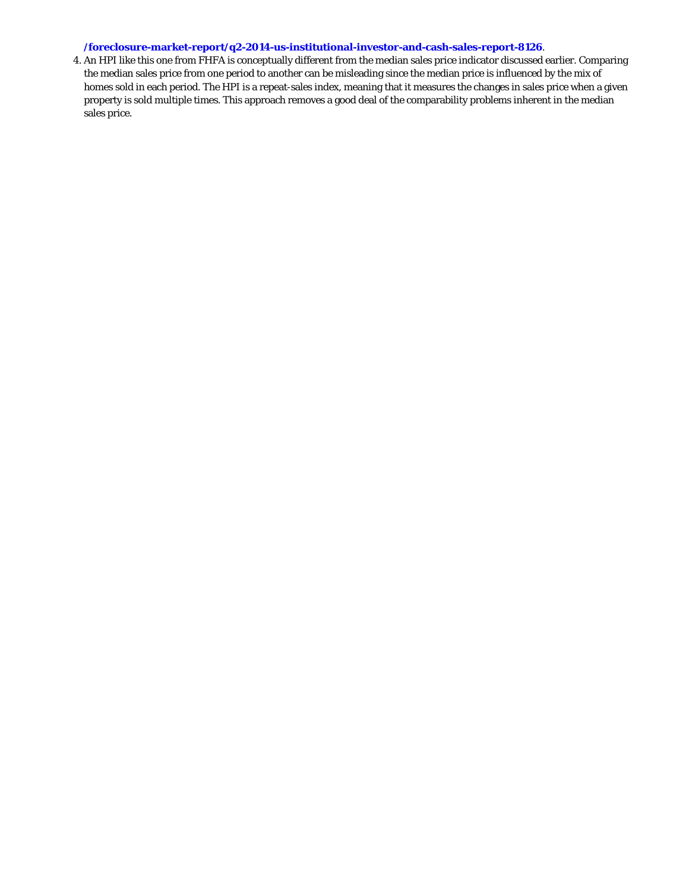## **/foreclosure-market-report/q2-2014-us-institutional-investor-and-cash-sales-report-8126**.

4. An HPI like this one from FHFA is conceptually different from the median sales price indicator discussed earlier. Comparing the median sales price from one period to another can be misleading since the median price is influenced by the mix of homes sold in each period. The HPI is a repeat-sales index, meaning that it measures the changes in sales price when a given property is sold multiple times. This approach removes a good deal of the comparability problems inherent in the median sales price.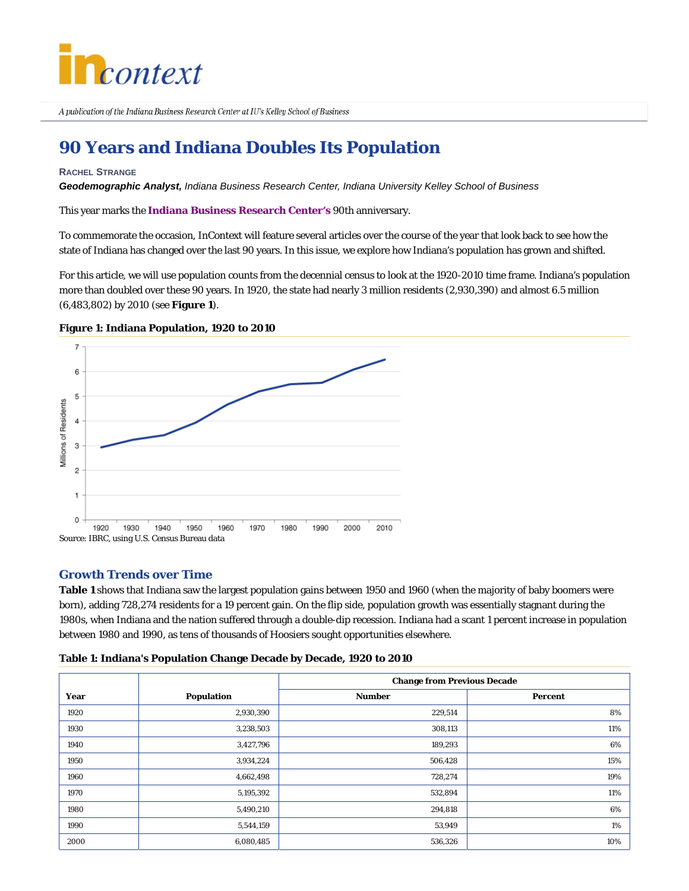

A publication of the Indiana Business Research Center at IU's Kelley School of Business

# **90 Years and Indiana Doubles Its Population**

#### **RACHEL STRANGE**

*Geodemographic Analyst, Indiana Business Research Center, Indiana University Kelley School of Business*

This year marks the **Indiana Business Research Center's** 90th anniversary.

To commemorate the occasion, *InContext* will feature several articles over the course of the year that look back to see how the state of Indiana has changed over the last 90 years. In this issue, we explore how Indiana's population has grown and shifted.

For this article, we will use population counts from the decennial census to look at the 1920-2010 time frame. Indiana's population more than doubled over these 90 years. In 1920, the state had nearly 3 million residents (2,930,390) and almost 6.5 million (6,483,802) by 2010 (see **Figure 1**).



### **Figure 1: Indiana Population, 1920 to 2010**

## **Growth Trends over Time**

**Table 1** shows that Indiana saw the largest population gains between 1950 and 1960 (when the majority of baby boomers were born), adding 728,274 residents for a 19 percent gain. On the flip side, population growth was essentially stagnant during the 1980s, when Indiana and the nation suffered through a double-dip recession. Indiana had a scant 1 percent increase in population between 1980 and 1990, as tens of thousands of Hoosiers sought opportunities elsewhere.

| Table 1: Indiana's Population Change Decade by Decade, 1920 to 2010 |  |  |  |  |  |
|---------------------------------------------------------------------|--|--|--|--|--|
|---------------------------------------------------------------------|--|--|--|--|--|

|      |                   | <b>Change from Previous Decade</b> |         |  |
|------|-------------------|------------------------------------|---------|--|
| Year | <b>Population</b> | <b>Number</b>                      | Percent |  |
| 1920 | 2,930,390         | 229,514                            | 8%      |  |
| 1930 | 3,238,503         | 308,113                            | 11%     |  |
| 1940 | 3,427,796         | 189,293                            | 6%      |  |
| 1950 | 3,934,224         | 506,428                            | 15%     |  |
| 1960 | 4,662,498         | 728,274                            | 19%     |  |
| 1970 | 5,195,392         | 532,894                            | 11%     |  |
| 1980 | 5,490,210         | 294,818                            | 6%      |  |
| 1990 | 5,544,159         | 53,949                             | 1%      |  |
| 2000 | 6,080,485         | 536,326                            | 10%     |  |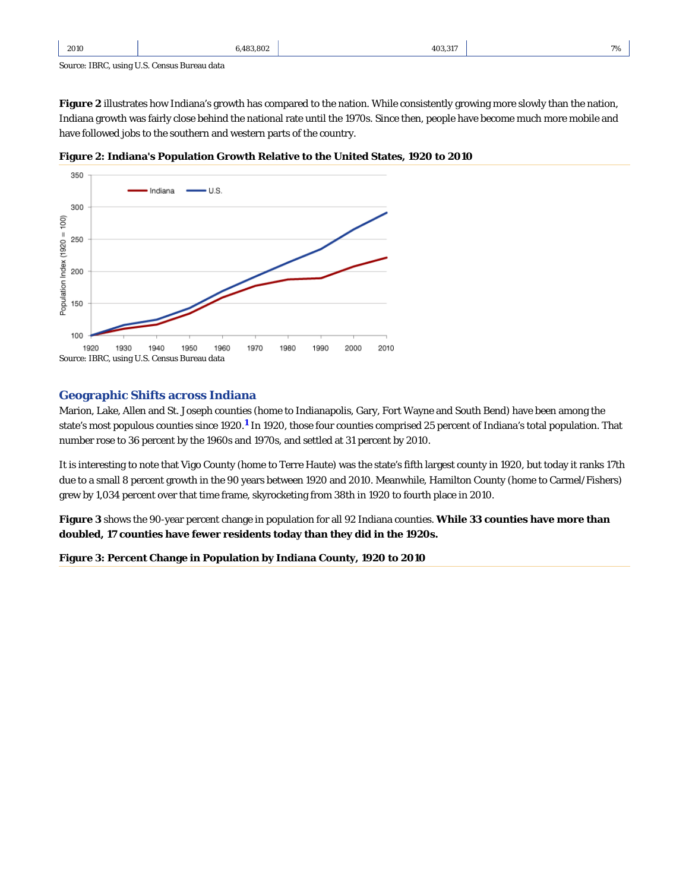| 2010 | 6.483.802 | 403.317 | 7% |
|------|-----------|---------|----|
|      |           |         |    |

Source: IBRC, using U.S. Census Bureau data

**Figure 2** illustrates how Indiana's growth has compared to the nation. While consistently growing more slowly than the nation, Indiana growth was fairly close behind the national rate until the 1970s. Since then, people have become much more mobile and have followed jobs to the southern and western parts of the country.





## **Geographic Shifts across Indiana**

Marion, Lake, Allen and St. Joseph counties (home to Indianapolis, Gary, Fort Wayne and South Bend) have been among the state's most populous counties since 1920.<sup>1</sup> In 1920, those four counties comprised 25 percent of Indiana's total population. That number rose to 36 percent by the 1960s and 1970s, and settled at 31 percent by 2010.

It is interesting to note that Vigo County (home to Terre Haute) was the state's fifth largest county in 1920, but today it ranks 17th due to a small 8 percent growth in the 90 years between 1920 and 2010. Meanwhile, Hamilton County (home to Carmel/Fishers) grew by 1,034 percent over that time frame, skyrocketing from 38th in 1920 to fourth place in 2010.

**Figure 3** shows the 90-year percent change in population for all 92 Indiana counties. **While 33 counties have more than doubled, 17 counties have fewer residents today than they did in the 1920s.**

**Figure 3: Percent Change in Population by Indiana County, 1920 to 2010**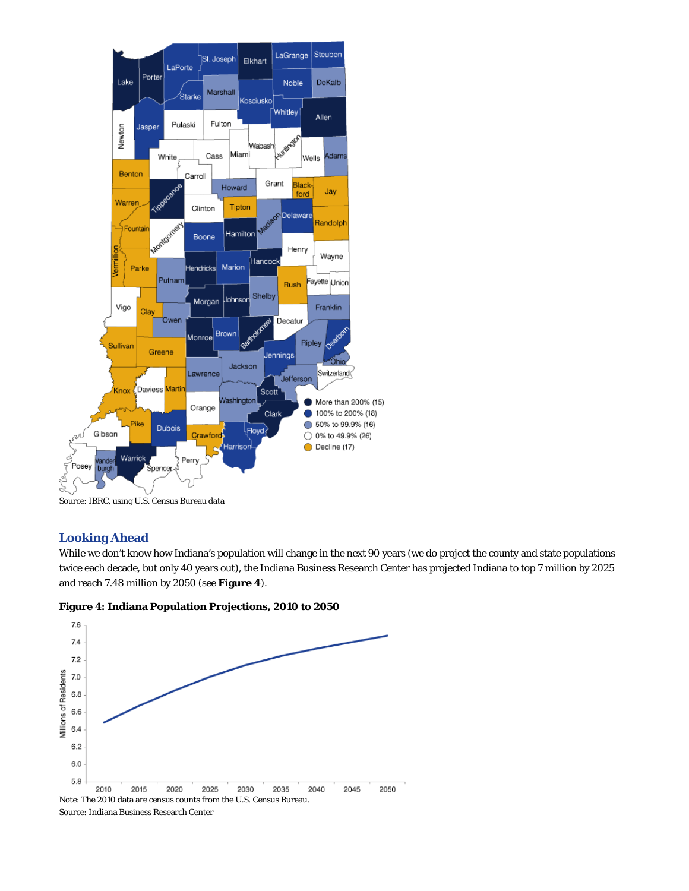

Source: IBRC, using U.S. Census Bureau data

## **Looking Ahead**

ś

While we don't know how Indiana's population will change in the next 90 years (we do project the county and state populations twice each decade, but only 40 years out), the Indiana Business Research Center has projected Indiana to top 7 million by 2025 and reach 7.48 million by 2050 (see **Figure 4**).





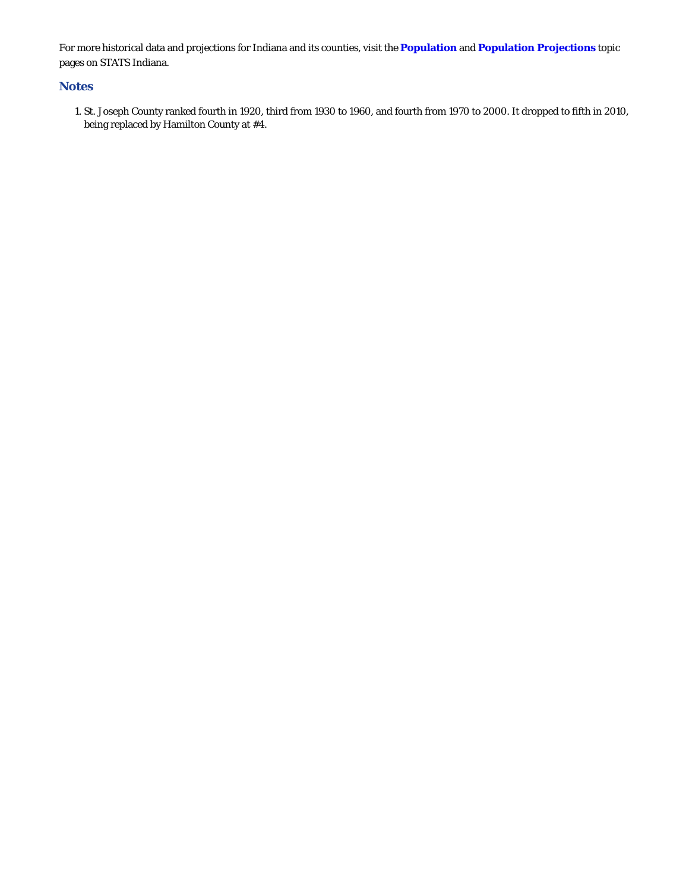For more historical data and projections for Indiana and its counties, visit the **Population** and **Population Projections** topic pages on STATS Indiana.

## **Notes**

1. St. Joseph County ranked fourth in 1920, third from 1930 to 1960, and fourth from 1970 to 2000. It dropped to fifth in 2010, being replaced by Hamilton County at #4.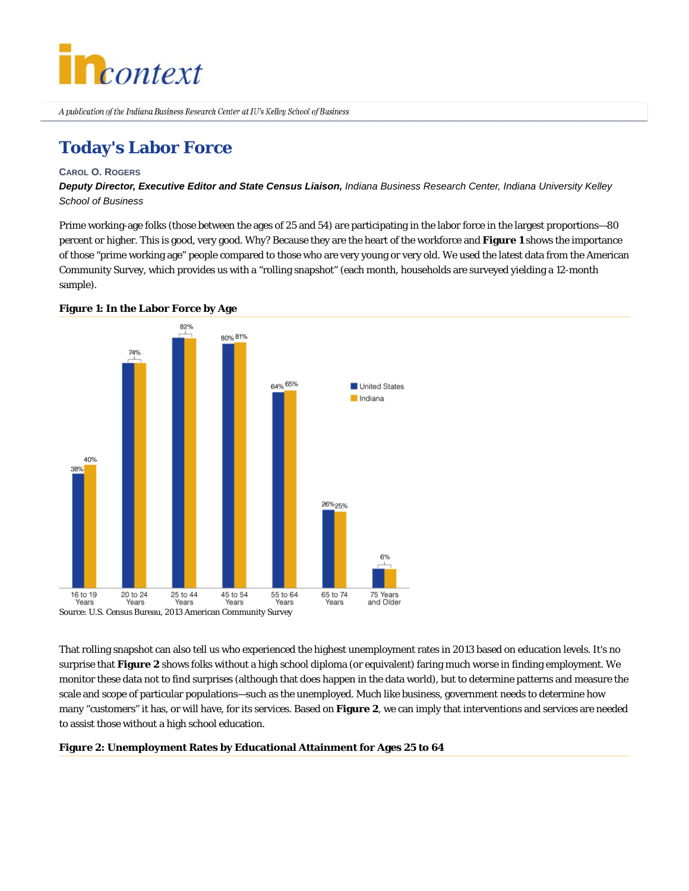

# **Today's Labor Force**

### **CAROL O. ROGERS**

*Deputy Director, Executive Editor and State Census Liaison, Indiana Business Research Center, Indiana University Kelley School of Business*

Prime working-age folks (those between the ages of 25 and 54) are participating in the labor force in the largest proportions—80 percent or higher. This is good, very good. Why? Because they are the heart of the workforce and **Figure 1** shows the importance of those "prime working age" people compared to those who are very young or very old. We used the latest data from the American Community Survey, which provides us with a "rolling snapshot" (each month, households are surveyed yielding a 12-month sample).



### **Figure 1: In the Labor Force by Age**

That rolling snapshot can also tell us who experienced the highest unemployment rates in 2013 based on education levels. It's no surprise that **Figure 2** shows folks without a high school diploma (or equivalent) faring much worse in finding employment. We monitor these data not to find surprises (although that does happen in the data world), but to determine patterns and measure the scale and scope of particular populations—such as the unemployed. Much like business, government needs to determine how many "customers" it has, or will have, for its services. Based on **Figure 2**, we can imply that interventions and services are needed to assist those without a high school education.

### **Figure 2: Unemployment Rates by Educational Attainment for Ages 25 to 64**